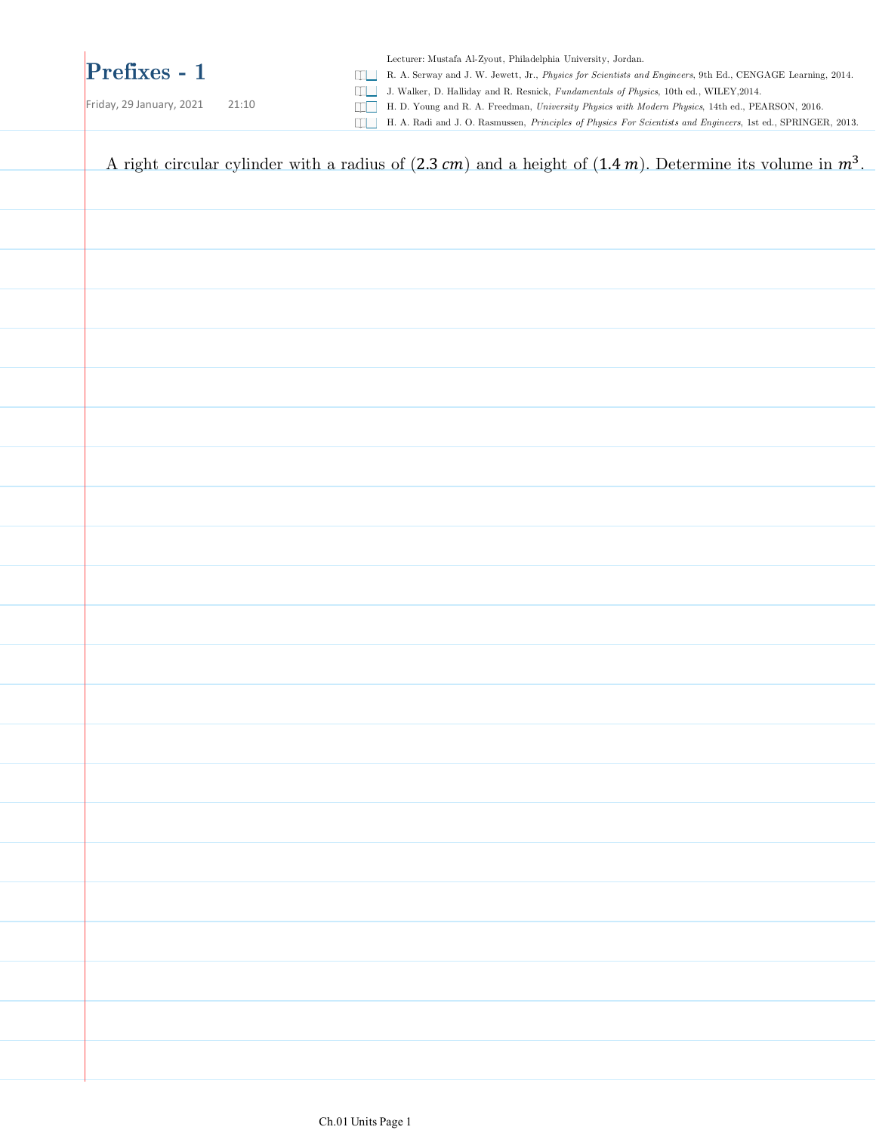#### **Prefixes - 1**

Lecturer: Mustafa Al-Zyout, Philadelphia University, Jordan.

R. A. Serway and J. W. Jewett, Jr., *Physics for Scientists and Engineers*, 9th Ed., CENGAGE Learning, 2014.

J. Walker, D. Halliday and R. Resnick, *Fundamentals of Physics*, 10th ed., WILEY,2014.

| Friday, 29 January, 2021<br>21:10<br>DD I | H. D. Young and R. A. Freedman, University Physics with Modern Physics, 14th ed., PEARSON, 2016.<br>H. A. Radi and J. O. Rasmussen, Principles of Physics For Scientists and Engineers, 1st ed., SPRINGER, 2013. |
|-------------------------------------------|------------------------------------------------------------------------------------------------------------------------------------------------------------------------------------------------------------------|
|                                           | A right circular cylinder with a radius of $(2.3 \text{ cm})$ and a height of $(1.4 \text{ m})$ . Determine its volume in $m^3$ .                                                                                |
|                                           |                                                                                                                                                                                                                  |
|                                           |                                                                                                                                                                                                                  |
|                                           |                                                                                                                                                                                                                  |
|                                           |                                                                                                                                                                                                                  |
|                                           |                                                                                                                                                                                                                  |
|                                           |                                                                                                                                                                                                                  |
|                                           |                                                                                                                                                                                                                  |
|                                           |                                                                                                                                                                                                                  |
|                                           |                                                                                                                                                                                                                  |
|                                           |                                                                                                                                                                                                                  |
|                                           |                                                                                                                                                                                                                  |
|                                           |                                                                                                                                                                                                                  |
|                                           |                                                                                                                                                                                                                  |
|                                           |                                                                                                                                                                                                                  |
|                                           |                                                                                                                                                                                                                  |
|                                           |                                                                                                                                                                                                                  |
|                                           |                                                                                                                                                                                                                  |
|                                           |                                                                                                                                                                                                                  |
|                                           |                                                                                                                                                                                                                  |
|                                           |                                                                                                                                                                                                                  |
|                                           |                                                                                                                                                                                                                  |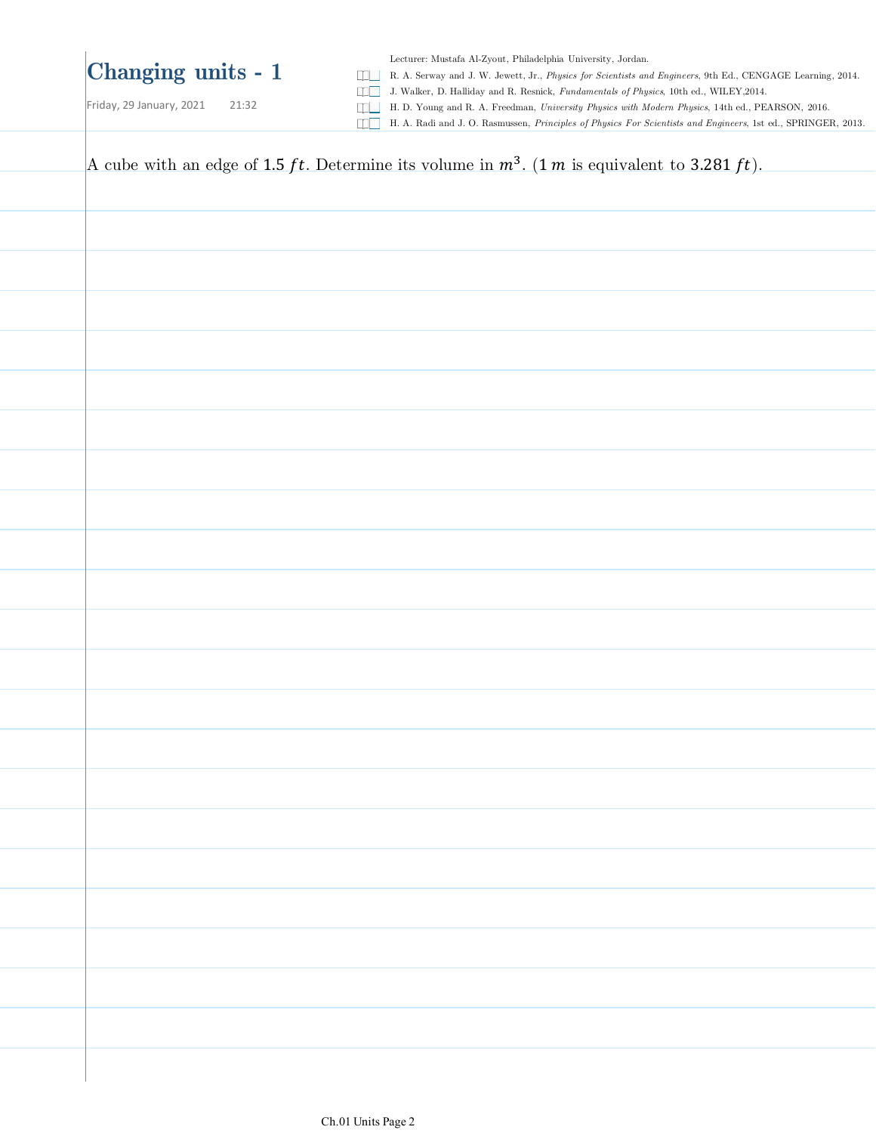Friday, 29 January, 2021 21:32

Lecturer: Mustafa Al-Zyout, Philadelphia University, Jordan.

R. A. Serway and J. W. Jewett, Jr., *Physics for Scientists and Engineers*, 9th Ed., CENGAGE Learning, 2014.

J. Walker, D. Halliday and R. Resnick, *Fundamentals of Physics*, 10th ed., WILEY,2014.

H. D. Young and R. A. Freedman, *University Physics with Modern Physics*, 14th ed., PEARSON, 2016.

H. A. Radi and J. O. Rasmussen, *Principles of Physics For Scientists and Engineers*, 1st ed., SPRINGER, 2013.

A cube with an edge of 1.5 ft. Determine its volume in  $m^3$ . (1 m is equivalent to 3.281 ft).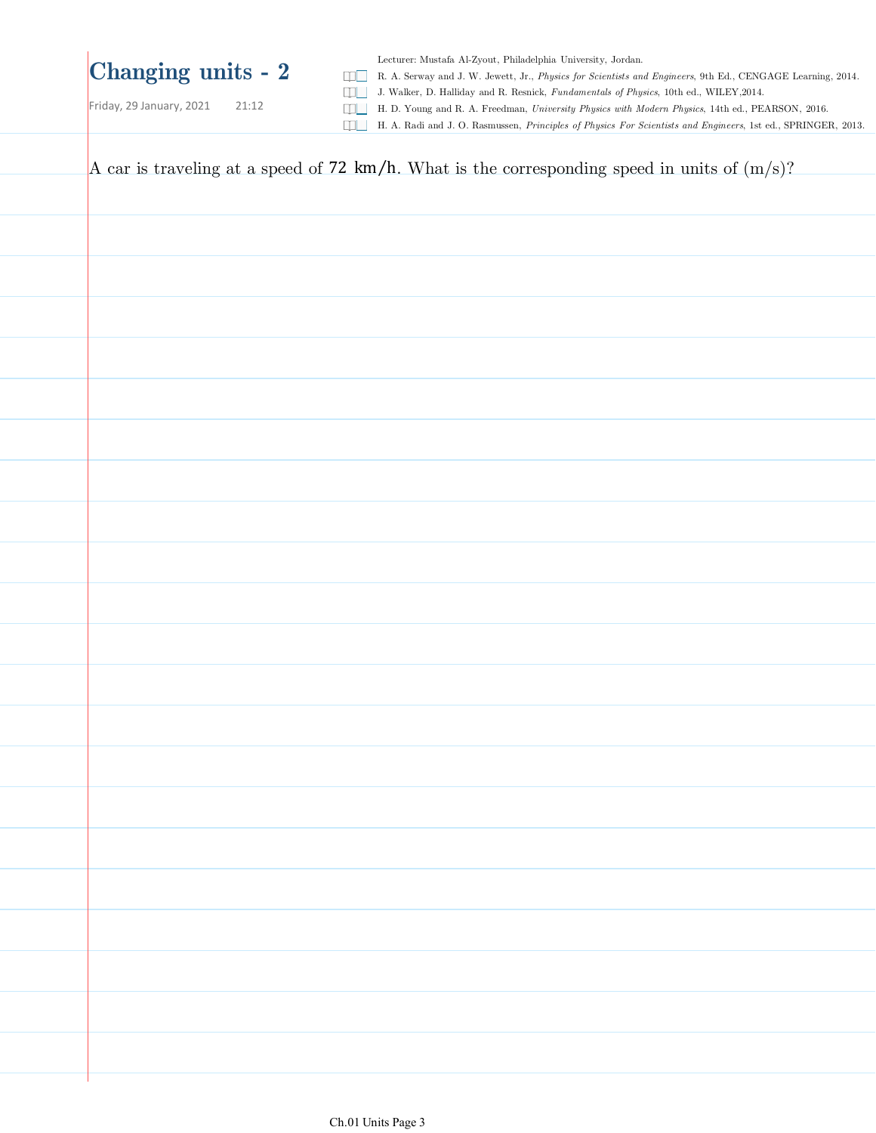Friday, 29 January, 2021 21:12

Lecturer: Mustafa Al-Zyout, Philadelphia University, Jordan.

R. A. Serway and J. W. Jewett, Jr., *Physics for Scientists and Engineers*, 9th Ed., CENGAGE Learning, 2014.

J. Walker, D. Halliday and R. Resnick, *Fundamentals of Physics*, 10th ed., WILEY,2014.

H. D. Young and R. A. Freedman, *University Physics with Modern Physics*, 14th ed., PEARSON, 2016.

H. A. Radi and J. O. Rasmussen, *Principles of Physics For Scientists and Engineers*, 1st ed., SPRINGER, 2013.

| A car is traveling at a speed of 72 km/h. What is the corresponding speed in units of $(m/s)$ ? |
|-------------------------------------------------------------------------------------------------|
|                                                                                                 |
|                                                                                                 |
|                                                                                                 |
|                                                                                                 |
|                                                                                                 |
|                                                                                                 |
|                                                                                                 |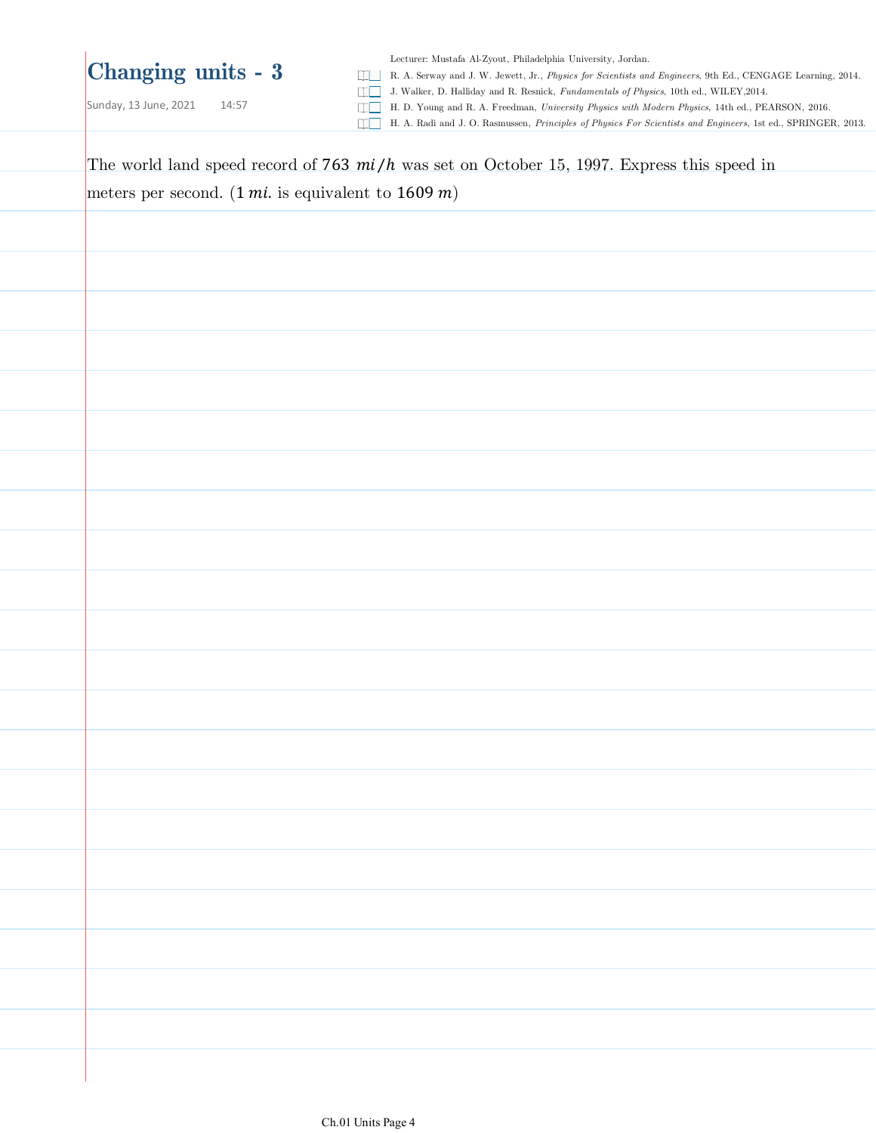Sunday, 13 June, 2021 14:57

Lecturer: Mustafa Al-Zyout, Philadelphia University, Jordan.

R. A. Serway and J. W. Jewett, Jr., *Physics for Scientists and Engineers*, 9th Ed., CENGAGE Learning, 2014.

J. Walker, D. Halliday and R. Resnick, *Fundamentals of Physics*, 10th ed., WILEY,2014.

H. D. Young and R. A. Freedman, *University Physics with Modern Physics*, 14th ed., PEARSON, 2016.

H. A. Radi and J. O. Rasmussen, *Principles of Physics For Scientists and Engineers*, 1st ed., SPRINGER, 2013.

| The world land speed record of 763 $mi/h$ was set on October 15, 1997. Express this speed in |
|----------------------------------------------------------------------------------------------|
| meters per second. $(1 mi.$ is equivalent to $1609 m)$                                       |
|                                                                                              |
|                                                                                              |
|                                                                                              |
|                                                                                              |
|                                                                                              |
|                                                                                              |
|                                                                                              |
|                                                                                              |
|                                                                                              |
|                                                                                              |
|                                                                                              |
|                                                                                              |
|                                                                                              |
|                                                                                              |
|                                                                                              |
|                                                                                              |
|                                                                                              |
|                                                                                              |
|                                                                                              |
|                                                                                              |
|                                                                                              |
|                                                                                              |
|                                                                                              |